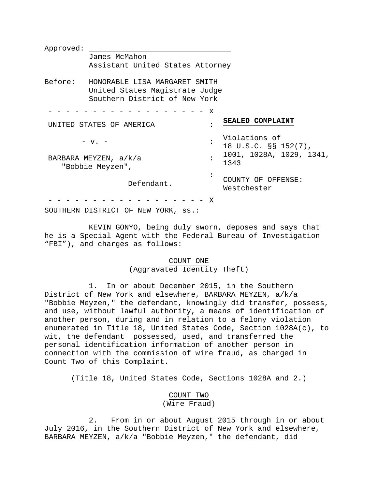Approved: James McMahon Assistant United States Attorney Before: HONORABLE LISA MARGARET SMITH United States Magistrate Judge Southern District of New York - - - - - - - - - - - - - - - - - - x UNITED STATES OF AMERICA  $- v. -$ BARBARA MEYZEN, a/k/a "Bobbie Meyzen", Defendant. : : : : **SEALED COMPLAINT** Violations of 18 U.S.C. §§ 152(7), 1001, 1028A, 1029, 1341, 1343 COUNTY OF OFFENSE: Westchester  $- - - - - - X$ 

SOUTHERN DISTRICT OF NEW YORK, ss.:

KEVIN GONYO, being duly sworn, deposes and says that he is a Special Agent with the Federal Bureau of Investigation "FBI"), and charges as follows:

# COUNT ONE (Aggravated Identity Theft)

1. In or about December 2015, in the Southern District of New York and elsewhere, BARBARA MEYZEN, a/k/a "Bobbie Meyzen," the defendant, knowingly did transfer, possess, and use, without lawful authority, a means of identification of another person, during and in relation to a felony violation enumerated in Title 18, United States Code, Section 1028A(c), to wit, the defendant possessed, used, and transferred the personal identification information of another person in connection with the commission of wire fraud, as charged in Count Two of this Complaint.

(Title 18, United States Code, Sections 1028A and 2.)

# COUNT TWO (Wire Fraud)

2. From in or about August 2015 through in or about July 2016**,** in the Southern District of New York and elsewhere, BARBARA MEYZEN, a/k/a "Bobbie Meyzen," the defendant, did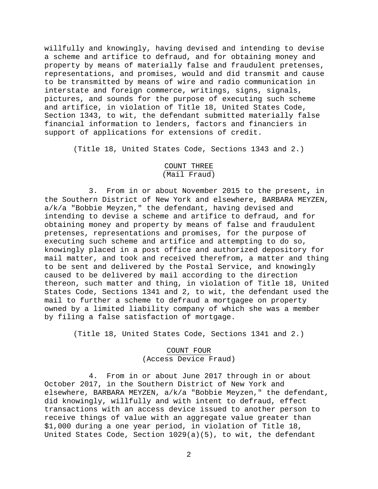willfully and knowingly, having devised and intending to devise a scheme and artifice to defraud, and for obtaining money and property by means of materially false and fraudulent pretenses, representations, and promises, would and did transmit and cause to be transmitted by means of wire and radio communication in interstate and foreign commerce, writings, signs, signals, pictures, and sounds for the purpose of executing such scheme and artifice, in violation of Title 18, United States Code, Section 1343, to wit, the defendant submitted materially false financial information to lenders, factors and financiers in support of applications for extensions of credit.

(Title 18, United States Code, Sections 1343 and 2.)

# COUNT THREE (Mail Fraud)

3. From in or about November 2015 to the present**,** in the Southern District of New York and elsewhere, BARBARA MEYZEN, a/k/a "Bobbie Meyzen," the defendant, having devised and intending to devise a scheme and artifice to defraud, and for obtaining money and property by means of false and fraudulent pretenses, representations and promises, for the purpose of executing such scheme and artifice and attempting to do so, knowingly placed in a post office and authorized depository for mail matter, and took and received therefrom, a matter and thing to be sent and delivered by the Postal Service, and knowingly caused to be delivered by mail according to the direction thereon, such matter and thing, in violation of Title 18, United States Code, Sections 1341 and 2, to wit, the defendant used the mail to further a scheme to defraud a mortgagee on property owned by a limited liability company of which she was a member by filing a false satisfaction of mortgage.

(Title 18, United States Code, Sections 1341 and 2.)

## COUNT FOUR (Access Device Fraud)

4. From in or about June 2017 through in or about October 2017, in the Southern District of New York and elsewhere, BARBARA MEYZEN, a/k/a "Bobbie Meyzen," the defendant, did knowingly, willfully and with intent to defraud, effect transactions with an access device issued to another person to receive things of value with an aggregate value greater than \$1,000 during a one year period, in violation of Title 18, United States Code, Section 1029(a)(5), to wit, the defendant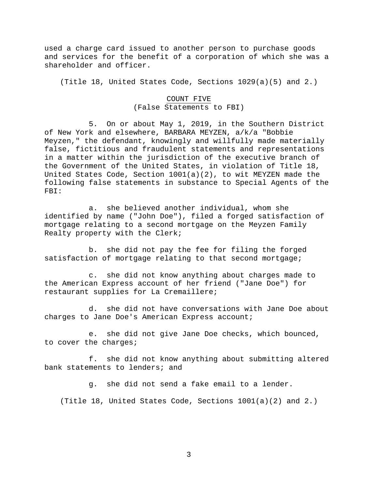used a charge card issued to another person to purchase goods and services for the benefit of a corporation of which she was a shareholder and officer.

(Title 18, United States Code, Sections 1029(a)(5) and 2.)

# COUNT FIVE (False Statements to FBI)

5. On or about May 1, 2019, in the Southern District of New York and elsewhere, BARBARA MEYZEN, a/k/a "Bobbie Meyzen," the defendant, knowingly and willfully made materially false, fictitious and fraudulent statements and representations in a matter within the jurisdiction of the executive branch of the Government of the United States, in violation of Title 18, United States Code, Section 1001(a)(2), to wit MEYZEN made the following false statements in substance to Special Agents of the FBI:

a. she believed another individual, whom she identified by name ("John Doe"), filed a forged satisfaction of mortgage relating to a second mortgage on the Meyzen Family Realty property with the Clerk;

b. she did not pay the fee for filing the forged satisfaction of mortgage relating to that second mortgage;

c. she did not know anything about charges made to the American Express account of her friend ("Jane Doe") for restaurant supplies for La Cremaillere;

d. she did not have conversations with Jane Doe about charges to Jane Doe's American Express account;

e. she did not give Jane Doe checks, which bounced, to cover the charges;

f. she did not know anything about submitting altered bank statements to lenders; and

g. she did not send a fake email to a lender.

(Title 18, United States Code, Sections 1001(a)(2) and 2.)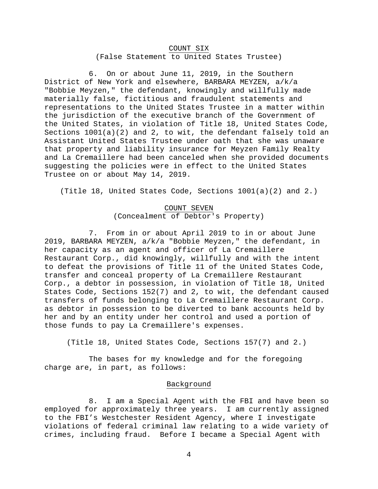## COUNT SIX (False Statement to United States Trustee)

6. On or about June 11, 2019, in the Southern District of New York and elsewhere, BARBARA MEYZEN, a/k/a "Bobbie Meyzen," the defendant, knowingly and willfully made materially false, fictitious and fraudulent statements and representations to the United States Trustee in a matter within the jurisdiction of the executive branch of the Government of the United States, in violation of Title 18, United States Code, Sections 1001(a)(2) and 2, to wit, the defendant falsely told an Assistant United States Trustee under oath that she was unaware that property and liability insurance for Meyzen Family Realty and La Cremaillere had been canceled when she provided documents suggesting the policies were in effect to the United States Trustee on or about May 14, 2019.

(Title 18, United States Code, Sections 1001(a)(2) and 2.)

# COUNT SEVEN (Concealment of Debtor's Property)

7. From in or about April 2019 to in or about June 2019, BARBARA MEYZEN, a/k/a "Bobbie Meyzen," the defendant, in her capacity as an agent and officer of La Cremaillere Restaurant Corp., did knowingly, willfully and with the intent to defeat the provisions of Title 11 of the United States Code, transfer and conceal property of La Cremaillere Restaurant Corp., a debtor in possession, in violation of Title 18, United States Code, Sections 152(7) and 2, to wit, the defendant caused transfers of funds belonging to La Cremaillere Restaurant Corp. as debtor in possession to be diverted to bank accounts held by her and by an entity under her control and used a portion of those funds to pay La Cremaillere's expenses.

(Title 18, United States Code, Sections 157(7) and 2.)

The bases for my knowledge and for the foregoing charge are, in part, as follows:

## Background

8. I am a Special Agent with the FBI and have been so employed for approximately three years. I am currently assigned to the FBI's Westchester Resident Agency, where I investigate violations of federal criminal law relating to a wide variety of crimes, including fraud. Before I became a Special Agent with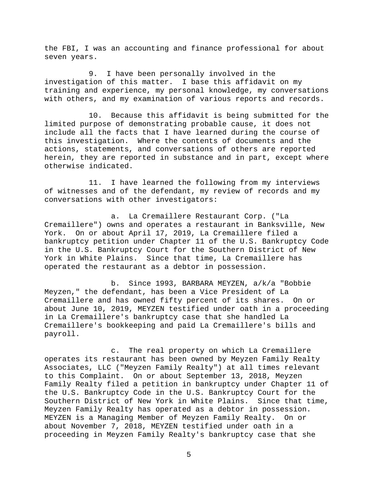the FBI, I was an accounting and finance professional for about seven years.

9. I have been personally involved in the investigation of this matter. I base this affidavit on my training and experience, my personal knowledge, my conversations with others, and my examination of various reports and records.

10. Because this affidavit is being submitted for the limited purpose of demonstrating probable cause, it does not include all the facts that I have learned during the course of this investigation. Where the contents of documents and the actions, statements, and conversations of others are reported herein, they are reported in substance and in part, except where otherwise indicated.

11. I have learned the following from my interviews of witnesses and of the defendant, my review of records and my conversations with other investigators:

a. La Cremaillere Restaurant Corp. ("La Cremaillere") owns and operates a restaurant in Banksville, New York. On or about April 17, 2019, La Cremaillere filed a bankruptcy petition under Chapter 11 of the U.S. Bankruptcy Code in the U.S. Bankruptcy Court for the Southern District of New York in White Plains. Since that time, La Cremaillere has operated the restaurant as a debtor in possession.

b. Since 1993, BARBARA MEYZEN, a/k/a "Bobbie Meyzen," the defendant, has been a Vice President of La Cremaillere and has owned fifty percent of its shares. On or about June 10, 2019, MEYZEN testified under oath in a proceeding in La Cremaillere's bankruptcy case that she handled La Cremaillere's bookkeeping and paid La Cremaillere's bills and payroll.

c. The real property on which La Cremaillere operates its restaurant has been owned by Meyzen Family Realty Associates, LLC ("Meyzen Family Realty") at all times relevant to this Complaint. On or about September 13, 2018, Meyzen Family Realty filed a petition in bankruptcy under Chapter 11 of the U.S. Bankruptcy Code in the U.S. Bankruptcy Court for the Southern District of New York in White Plains. Since that time, Meyzen Family Realty has operated as a debtor in possession. MEYZEN is a Managing Member of Meyzen Family Realty. On or about November 7, 2018, MEYZEN testified under oath in a proceeding in Meyzen Family Realty's bankruptcy case that she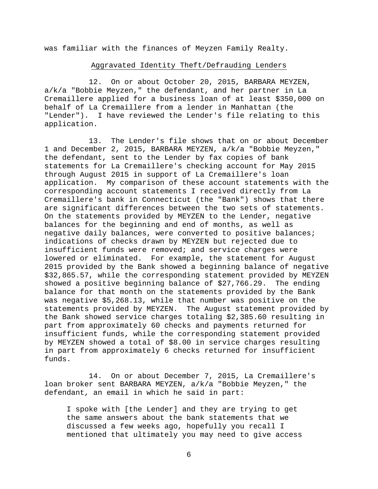was familiar with the finances of Meyzen Family Realty.

#### Aggravated Identity Theft/Defrauding Lenders

12. On or about October 20, 2015, BARBARA MEYZEN, a/k/a "Bobbie Meyzen," the defendant, and her partner in La Cremaillere applied for a business loan of at least \$350,000 on behalf of La Cremaillere from a lender in Manhattan (the "Lender"). I have reviewed the Lender's file relating to this application.

13. The Lender's file shows that on or about December 1 and December 2, 2015, BARBARA MEYZEN, a/k/a "Bobbie Meyzen," the defendant, sent to the Lender by fax copies of bank statements for La Cremaillere's checking account for May 2015 through August 2015 in support of La Cremaillere's loan application. My comparison of these account statements with the corresponding account statements I received directly from La Cremaillere's bank in Connecticut (the "Bank") shows that there are significant differences between the two sets of statements. On the statements provided by MEYZEN to the Lender, negative balances for the beginning and end of months, as well as negative daily balances, were converted to positive balances; indications of checks drawn by MEYZEN but rejected due to insufficient funds were removed; and service charges were lowered or eliminated. For example, the statement for August 2015 provided by the Bank showed a beginning balance of negative \$32,865.57, while the corresponding statement provided by MEYZEN showed a positive beginning balance of \$27,766.29. The ending balance for that month on the statements provided by the Bank was negative \$5,268.13, while that number was positive on the statements provided by MEYZEN. The August statement provided by the Bank showed service charges totaling \$2,385.60 resulting in part from approximately 60 checks and payments returned for insufficient funds, while the corresponding statement provided by MEYZEN showed a total of \$8.00 in service charges resulting in part from approximately 6 checks returned for insufficient funds.

14. On or about December 7, 2015, La Cremaillere's loan broker sent BARBARA MEYZEN, a/k/a "Bobbie Meyzen," the defendant, an email in which he said in part:

I spoke with [the Lender] and they are trying to get the same answers about the bank statements that we discussed a few weeks ago, hopefully you recall I mentioned that ultimately you may need to give access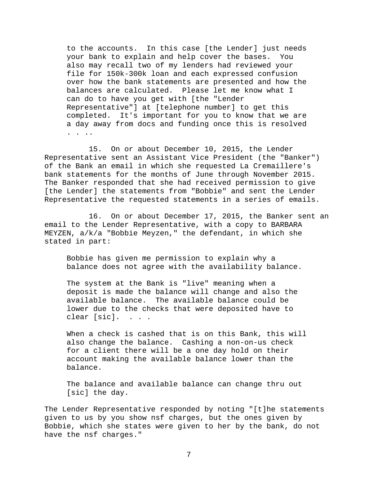to the accounts. In this case [the Lender] just needs your bank to explain and help cover the bases. You also may recall two of my lenders had reviewed your file for 150k-300k loan and each expressed confusion over how the bank statements are presented and how the balances are calculated. Please let me know what I can do to have you get with [the "Lender Representative"] at [telephone number] to get this completed. It's important for you to know that we are a day away from docs and funding once this is resolved . . ..

15. On or about December 10, 2015, the Lender Representative sent an Assistant Vice President (the "Banker") of the Bank an email in which she requested La Cremaillere's bank statements for the months of June through November 2015. The Banker responded that she had received permission to give [the Lender] the statements from "Bobbie" and sent the Lender Representative the requested statements in a series of emails.

16. On or about December 17, 2015, the Banker sent an email to the Lender Representative, with a copy to BARBARA MEYZEN, a/k/a "Bobbie Meyzen," the defendant, in which she stated in part:

Bobbie has given me permission to explain why a balance does not agree with the availability balance.

The system at the Bank is "live" meaning when a deposit is made the balance will change and also the available balance. The available balance could be lower due to the checks that were deposited have to clear [sic]. . . .

When a check is cashed that is on this Bank, this will also change the balance. Cashing a non-on-us check for a client there will be a one day hold on their account making the available balance lower than the balance.

The balance and available balance can change thru out [sic] the day.

The Lender Representative responded by noting "[t]he statements given to us by you show nsf charges, but the ones given by Bobbie, which she states were given to her by the bank, do not have the nsf charges."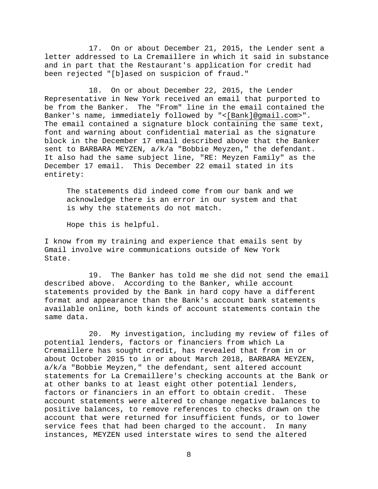17. On or about December 21, 2015, the Lender sent a letter addressed to La Cremaillere in which it said in substance and in part that the Restaurant's application for credit had been rejected "[b]ased on suspicion of fraud."

18. On or about December 22, 2015, the Lender Representative in New York received an email that purported to be from the Banker. The "From" line in the email contained the Banker's name, immediately followed by "<[Bank]@gmail.com>". The email contained a signature block containing the same text, font and warning about confidential material as the signature block in the December 17 email described above that the Banker sent to BARBARA MEYZEN, a/k/a "Bobbie Meyzen," the defendant. It also had the same subject line, "RE: Meyzen Family" as the December 17 email. This December 22 email stated in its entirety:

The statements did indeed come from our bank and we acknowledge there is an error in our system and that is why the statements do not match.

Hope this is helpful.

I know from my training and experience that emails sent by Gmail involve wire communications outside of New York State.

19. The Banker has told me she did not send the email described above. According to the Banker, while account statements provided by the Bank in hard copy have a different format and appearance than the Bank's account bank statements available online, both kinds of account statements contain the same data.

20. My investigation, including my review of files of potential lenders, factors or financiers from which La Cremaillere has sought credit, has revealed that from in or about October 2015 to in or about March 2018, BARBARA MEYZEN, a/k/a "Bobbie Meyzen," the defendant, sent altered account statements for La Cremaillere's checking accounts at the Bank or at other banks to at least eight other potential lenders, factors or financiers in an effort to obtain credit. These account statements were altered to change negative balances to positive balances, to remove references to checks drawn on the account that were returned for insufficient funds, or to lower service fees that had been charged to the account. In many instances, MEYZEN used interstate wires to send the altered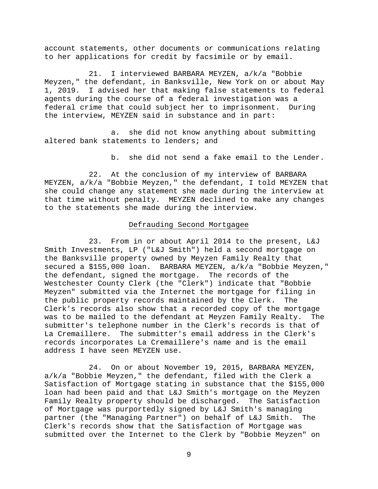account statements, other documents or communications relating to her applications for credit by facsimile or by email.

21. I interviewed BARBARA MEYZEN, a/k/a "Bobbie Meyzen," the defendant, in Banksville, New York on or about May<br>1, 2019. I advised her that making false statements to federal I advised her that making false statements to federal agents during the course of a federal investigation was a federal crime that could subject her to imprisonment. During the interview, MEYZEN said in substance and in part:

a. she did not know anything about submitting altered bank statements to lenders; and

b. she did not send a fake email to the Lender.

22. At the conclusion of my interview of BARBARA MEYZEN, a/k/a "Bobbie Meyzen," the defendant, I told MEYZEN that she could change any statement she made during the interview at that time without penalty. MEYZEN declined to make any changes to the statements she made during the interview.

#### Defrauding Second Mortgagee

23. From in or about April 2014 to the present, L&J Smith Investments, LP ("L&J Smith") held a second mortgage on the Banksville property owned by Meyzen Family Realty that secured a \$155,000 loan. BARBARA MEYZEN, a/k/a "Bobbie Meyzen," the defendant, signed the mortgage. The records of the Westchester County Clerk (the "Clerk") indicate that "Bobbie Meyzen" submitted via the Internet the mortgage for filing in the public property records maintained by the Clerk. The Clerk's records also show that a recorded copy of the mortgage was to be mailed to the defendant at Meyzen Family Realty. The submitter's telephone number in the Clerk's records is that of La Cremaillere. The submitter's email address in the Clerk's records incorporates La Cremaillere's name and is the email address I have seen MEYZEN use.

24. On or about November 19, 2015, BARBARA MEYZEN, a/k/a "Bobbie Meyzen," the defendant, filed with the Clerk a Satisfaction of Mortgage stating in substance that the \$155,000 loan had been paid and that L&J Smith's mortgage on the Meyzen Family Realty property should be discharged. The Satisfaction of Mortgage was purportedly signed by L&J Smith's managing<br>partner (the "Managing Partner") on behalf of L&J Smith. The partner (the "Managing Partner") on behalf of L&J Smith. Clerk's records show that the Satisfaction of Mortgage was submitted over the Internet to the Clerk by "Bobbie Meyzen" on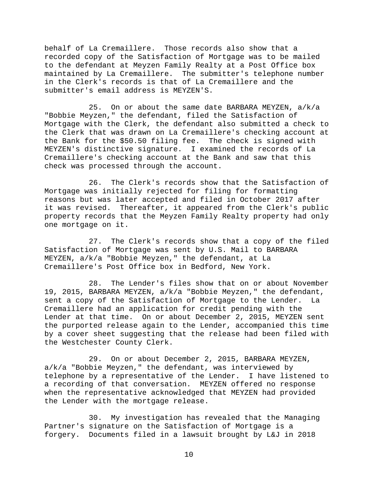behalf of La Cremaillere. Those records also show that a recorded copy of the Satisfaction of Mortgage was to be mailed to the defendant at Meyzen Family Realty at a Post Office box maintained by La Cremaillere. The submitter's telephone number in the Clerk's records is that of La Cremaillere and the submitter's email address is MEYZEN'S.

25. On or about the same date BARBARA MEYZEN, a/k/a "Bobbie Meyzen," the defendant, filed the Satisfaction of Mortgage with the Clerk, the defendant also submitted a check to the Clerk that was drawn on La Cremaillere's checking account at the Bank for the \$50.50 filing fee. The check is signed with MEYZEN's distinctive signature. I examined the records of La Cremaillere's checking account at the Bank and saw that this check was processed through the account.

26. The Clerk's records show that the Satisfaction of Mortgage was initially rejected for filing for formatting reasons but was later accepted and filed in October 2017 after it was revised. Thereafter, it appeared from the Clerk's public property records that the Meyzen Family Realty property had only one mortgage on it.

27. The Clerk's records show that a copy of the filed Satisfaction of Mortgage was sent by U.S. Mail to BARBARA MEYZEN, a/k/a "Bobbie Meyzen," the defendant, at La Cremaillere's Post Office box in Bedford, New York.

28. The Lender's files show that on or about November 19, 2015, BARBARA MEYZEN, a/k/a "Bobbie Meyzen," the defendant, sent a copy of the Satisfaction of Mortgage to the Lender. La Cremaillere had an application for credit pending with the Lender at that time. On or about December 2, 2015, MEYZEN sent the purported release again to the Lender, accompanied this time by a cover sheet suggesting that the release had been filed with the Westchester County Clerk.

29. On or about December 2, 2015, BARBARA MEYZEN, a/k/a "Bobbie Meyzen," the defendant, was interviewed by telephone by a representative of the Lender. I have listened to a recording of that conversation. MEYZEN offered no response when the representative acknowledged that MEYZEN had provided the Lender with the mortgage release.

30. My investigation has revealed that the Managing Partner's signature on the Satisfaction of Mortgage is a forgery. Documents filed in a lawsuit brought by L&J in 2018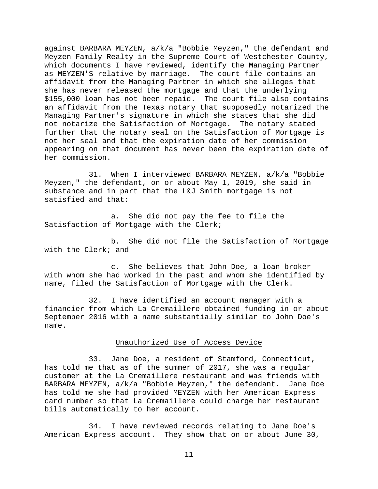against BARBARA MEYZEN, a/k/a "Bobbie Meyzen," the defendant and Meyzen Family Realty in the Supreme Court of Westchester County, which documents I have reviewed, identify the Managing Partner as MEYZEN'S relative by marriage. The court file contains an affidavit from the Managing Partner in which she alleges that she has never released the mortgage and that the underlying \$155,000 loan has not been repaid. The court file also contains an affidavit from the Texas notary that supposedly notarized the Managing Partner's signature in which she states that she did not notarize the Satisfaction of Mortgage. The notary stated further that the notary seal on the Satisfaction of Mortgage is not her seal and that the expiration date of her commission appearing on that document has never been the expiration date of her commission.

31. When I interviewed BARBARA MEYZEN, a/k/a "Bobbie Meyzen," the defendant, on or about May 1, 2019, she said in substance and in part that the L&J Smith mortgage is not satisfied and that:

a. She did not pay the fee to file the Satisfaction of Mortgage with the Clerk;

b. She did not file the Satisfaction of Mortgage with the Clerk; and

c. She believes that John Doe, a loan broker with whom she had worked in the past and whom she identified by name, filed the Satisfaction of Mortgage with the Clerk.

32. I have identified an account manager with a financier from which La Cremaillere obtained funding in or about September 2016 with a name substantially similar to John Doe's name.

### Unauthorized Use of Access Device

33. Jane Doe, a resident of Stamford, Connecticut, has told me that as of the summer of 2017, she was a regular customer at the La Cremaillere restaurant and was friends with BARBARA MEYZEN, a/k/a "Bobbie Meyzen," the defendant. Jane Doe has told me she had provided MEYZEN with her American Express card number so that La Cremaillere could charge her restaurant bills automatically to her account.

34. I have reviewed records relating to Jane Doe's American Express account. They show that on or about June 30,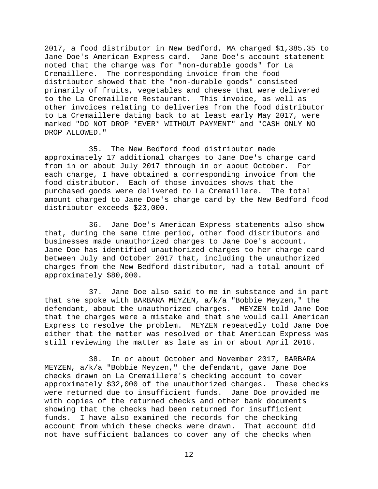2017, a food distributor in New Bedford, MA charged \$1,385.35 to Jane Doe's American Express card. Jane Doe's account statement noted that the charge was for "non-durable goods" for La Cremaillere. The corresponding invoice from the food distributor showed that the "non-durable goods" consisted primarily of fruits, vegetables and cheese that were delivered to the La Cremaillere Restaurant. This invoice, as well as other invoices relating to deliveries from the food distributor to La Cremaillere dating back to at least early May 2017, were marked "DO NOT DROP \*EVER\* WITHOUT PAYMENT" and "CASH ONLY NO DROP ALLOWED."

35. The New Bedford food distributor made approximately 17 additional charges to Jane Doe's charge card from in or about July 2017 through in or about October. For each charge, I have obtained a corresponding invoice from the food distributor. Each of those invoices shows that the purchased goods were delivered to La Cremaillere. The total amount charged to Jane Doe's charge card by the New Bedford food distributor exceeds \$23,000.

36. Jane Doe's American Express statements also show that, during the same time period, other food distributors and businesses made unauthorized charges to Jane Doe's account. Jane Doe has identified unauthorized charges to her charge card between July and October 2017 that, including the unauthorized charges from the New Bedford distributor, had a total amount of approximately \$80,000.

37. Jane Doe also said to me in substance and in part that she spoke with BARBARA MEYZEN, a/k/a "Bobbie Meyzen," the defendant, about the unauthorized charges. MEYZEN told Jane Doe that the charges were a mistake and that she would call American Express to resolve the problem. MEYZEN repeatedly told Jane Doe either that the matter was resolved or that American Express was still reviewing the matter as late as in or about April 2018.

38. In or about October and November 2017, BARBARA MEYZEN, a/k/a "Bobbie Meyzen," the defendant, gave Jane Doe checks drawn on La Cremaillere's checking account to cover approximately \$32,000 of the unauthorized charges. These checks were returned due to insufficient funds. Jane Doe provided me with copies of the returned checks and other bank documents showing that the checks had been returned for insufficient<br>funds. I have also examined the records for the checking I have also examined the records for the checking account from which these checks were drawn. That account did not have sufficient balances to cover any of the checks when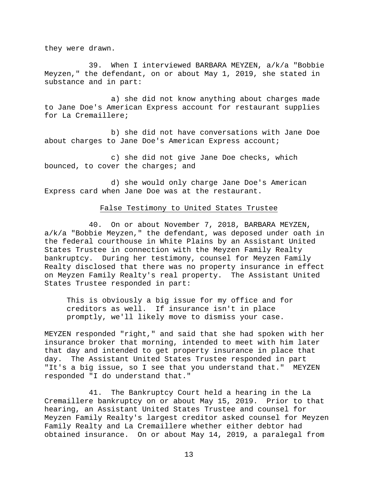they were drawn.

39. When I interviewed BARBARA MEYZEN, a/k/a "Bobbie Meyzen," the defendant, on or about May 1, 2019, she stated in substance and in part:

a) she did not know anything about charges made to Jane Doe's American Express account for restaurant supplies for La Cremaillere;

b) she did not have conversations with Jane Doe about charges to Jane Doe's American Express account;

c) she did not give Jane Doe checks, which bounced, to cover the charges; and

d) she would only charge Jane Doe's American Express card when Jane Doe was at the restaurant.

#### False Testimony to United States Trustee

40. On or about November 7, 2018, BARBARA MEYZEN, a/k/a "Bobbie Meyzen," the defendant, was deposed under oath in the federal courthouse in White Plains by an Assistant United States Trustee in connection with the Meyzen Family Realty bankruptcy. During her testimony, counsel for Meyzen Family Realty disclosed that there was no property insurance in effect on Meyzen Family Realty's real property. The Assistant United States Trustee responded in part:

This is obviously a big issue for my office and for creditors as well. If insurance isn't in place promptly, we'll likely move to dismiss your case.

MEYZEN responded "right," and said that she had spoken with her insurance broker that morning, intended to meet with him later that day and intended to get property insurance in place that day. The Assistant United States Trustee responded in part "It's a big issue, so I see that you understand that." MEYZEN responded "I do understand that."

41. The Bankruptcy Court held a hearing in the La Cremaillere bankruptcy on or about May 15, 2019. Prior to that hearing, an Assistant United States Trustee and counsel for Meyzen Family Realty's largest creditor asked counsel for Meyzen Family Realty and La Cremaillere whether either debtor had obtained insurance. On or about May 14, 2019, a paralegal from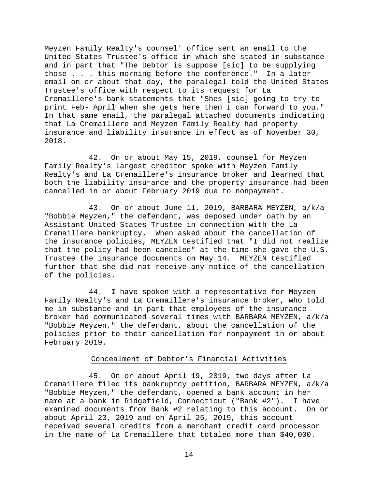Meyzen Family Realty's counsel' office sent an email to the United States Trustee's office in which she stated in substance and in part that "The Debtor is suppose [sic] to be supplying those . . . this morning before the conference." In a later email on or about that day, the paralegal told the United States Trustee's office with respect to its request for La Cremaillere's bank statements that "Shes [sic] going to try to print Feb- April when she gets here then I can forward to you." In that same email, the paralegal attached documents indicating that La Cremaillere and Meyzen Family Realty had property insurance and liability insurance in effect as of November 30, 2018.

42. On or about May 15, 2019, counsel for Meyzen Family Realty's largest creditor spoke with Meyzen Family Realty's and La Cremaillere's insurance broker and learned that both the liability insurance and the property insurance had been cancelled in or about February 2019 due to nonpayment.

43. On or about June 11, 2019, BARBARA MEYZEN, a/k/a "Bobbie Meyzen," the defendant, was deposed under oath by an Assistant United States Trustee in connection with the La Cremaillere bankruptcy. When asked about the cancellation of the insurance policies, MEYZEN testified that "I did not realize that the policy had been canceled" at the time she gave the U.S. Trustee the insurance documents on May 14. MEYZEN testified further that she did not receive any notice of the cancellation of the policies.

44. I have spoken with a representative for Meyzen Family Realty's and La Cremaillere's insurance broker, who told me in substance and in part that employees of the insurance broker had communicated several times with BARBARA MEYZEN, a/k/a "Bobbie Meyzen," the defendant, about the cancellation of the policies prior to their cancellation for nonpayment in or about February 2019.

### Concealment of Debtor's Financial Activities

45. On or about April 19, 2019, two days after La Cremaillere filed its bankruptcy petition, BARBARA MEYZEN, a/k/a "Bobbie Meyzen," the defendant, opened a bank account in her name at a bank in Ridgefield, Connecticut ("Bank #2"). examined documents from Bank #2 relating to this account. On or about April 23, 2019 and on April 25, 2019, this account received several credits from a merchant credit card processor in the name of La Cremaillere that totaled more than \$40,000.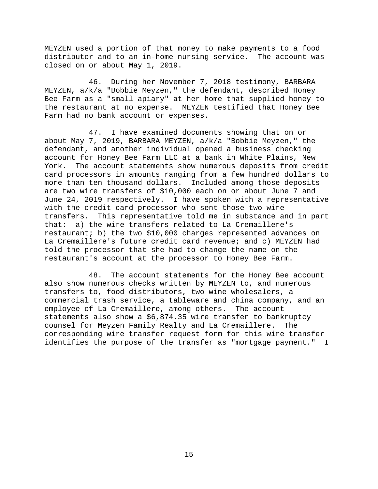MEYZEN used a portion of that money to make payments to a food distributor and to an in-home nursing service. The account was closed on or about May 1, 2019.

46. During her November 7, 2018 testimony, BARBARA MEYZEN, a/k/a "Bobbie Meyzen," the defendant, described Honey Bee Farm as a "small apiary" at her home that supplied honey to the restaurant at no expense. MEYZEN testified that Honey Bee Farm had no bank account or expenses.

47. I have examined documents showing that on or about May 7, 2019, BARBARA MEYZEN, a/k/a "Bobbie Meyzen," the defendant, and another individual opened a business checking account for Honey Bee Farm LLC at a bank in White Plains, New York. The account statements show numerous deposits from credit card processors in amounts ranging from a few hundred dollars to more than ten thousand dollars. Included among those deposits are two wire transfers of \$10,000 each on or about June 7 and June 24, 2019 respectively. I have spoken with a representative with the credit card processor who sent those two wire transfers. This representative told me in substance and in part that: a) the wire transfers related to La Cremaillere's restaurant; b) the two \$10,000 charges represented advances on La Cremaillere's future credit card revenue; and c) MEYZEN had told the processor that she had to change the name on the restaurant's account at the processor to Honey Bee Farm.

48. The account statements for the Honey Bee account also show numerous checks written by MEYZEN to, and numerous transfers to, food distributors, two wine wholesalers, a commercial trash service, a tableware and china company, and an employee of La Cremaillere, among others. The account employee of La Cremaillere, among others. statements also show a \$6,874.35 wire transfer to bankruptcy counsel for Meyzen Family Realty and La Cremaillere. The corresponding wire transfer request form for this wire transfer identifies the purpose of the transfer as "mortgage payment." I